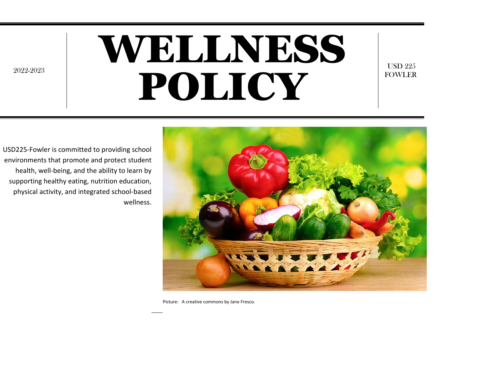# WELLNESS POLICY

USD 225 FOWLER

USD225-Fowler is committed to providing school environments that promote and protect student health, well-being, and the ability to learn by supporting healthy eating, nutrition education, physical activity, and integrated school-based wellness.

2022-2023



Picture: A creative commons by Jane Fresco.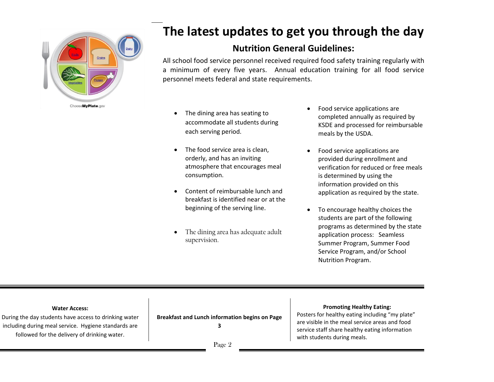

## **The latest updates to get you through the day**

### **Nutrition General Guidelines:**

All school food service personnel received required food safety training regularly with a minimum of every five years. Annual education training for all food service personnel meets federal and state requirements.

- The dining area has seating to accommodate all students during each serving period.
- The food service area is clean. orderly, and has an inviting atmosphere that encourages meal consumption.
- Content of reimbursable lunch and breakfast is identified near or at the beginning of the serving line.
- The dining area has adequate adult supervision.
- Food service applications are completed annually as required by KSDE and processed for reimbursable meals by the USDA.
- Food service applications are provided during enrollment and verification for reduced or free meals is determined by using the information provided on this application as required by the state.
- To encourage healthy choices the students are part of the following programs as determined by the state application process: Seamless Summer Program, Summer Food Service Program, and/or School Nutrition Program.

#### **Water Access:**

During the day students have access to drinking water including during meal service. Hygiene standards are followed for the delivery of drinking water.

**Breakfast and Lunch information begins on Page 3**

#### **Promoting Healthy Eating:**

Posters for healthy eating including "my plate" are visible in the meal service areas and food service staff share healthy eating information with students during meals.

Page 2